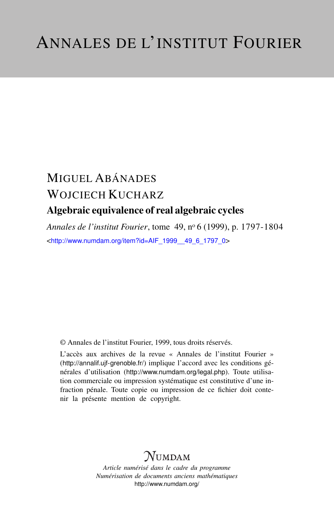# MIGUEL ABÁNADES WOJCIECH KUCHARZ Algebraic equivalence of real algebraic cycles

*Annales de l'institut Fourier*, tome 49, n<sup>o</sup> 6 (1999), p. 1797-1804 <[http://www.numdam.org/item?id=AIF\\_1999\\_\\_49\\_6\\_1797\\_0](http://www.numdam.org/item?id=AIF_1999__49_6_1797_0)>

© Annales de l'institut Fourier, 1999, tous droits réservés.

L'accès aux archives de la revue « Annales de l'institut Fourier » (<http://annalif.ujf-grenoble.fr/>) implique l'accord avec les conditions générales d'utilisation (<http://www.numdam.org/legal.php>). Toute utilisation commerciale ou impression systématique est constitutive d'une infraction pénale. Toute copie ou impression de ce fichier doit contenir la présente mention de copyright.

# NUMDAM

*Article numérisé dans le cadre du programme Numérisation de documents anciens mathématiques* <http://www.numdam.org/>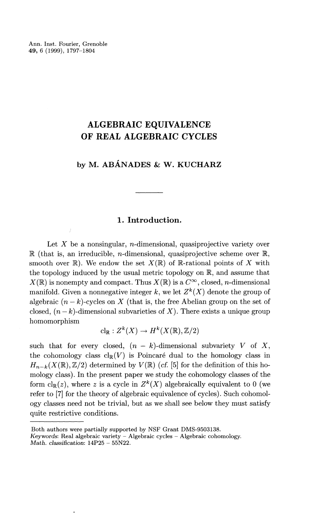Ann. Inst. Fourier, Grenoble **49,** 6 (1999), 1797-1804

## **ALGEBRAIC EQUIVALENCE OF REAL ALGEBRAIC CYCLES**

### **by M. ABANADES & W. KUCHARZ**

### **1. Introduction.**

Let  $X$  be a nonsingular, *n*-dimensional, quasiprojective variety over R (that is, an irreducible, *n*-dimensional, quasiprojective scheme over R, smooth over  $\mathbb{R}$ ). We endow the set  $X(\mathbb{R})$  of  $\mathbb{R}$ -rational points of X with the topology induced by the usual metric topology on R, and assume that  $X(\mathbb{R})$  is nonempty and compact. Thus  $X(\mathbb{R})$  is a  $C^{\infty}$ , closed, *n*-dimensional manifold. Given a nonnegative integer k, we let  $Z^k(X)$  denote the group of algebraic  $(n - k)$ -cycles on X (that is, the free Abelian group on the set of closed,  $(n - k)$ -dimensional subvarieties of X). There exists a unique group homomorphism

$$
\mathrm{cl}_{\mathbb{R}} : Z^{k}(X) \to H^{k}(X(\mathbb{R}), \mathbb{Z}/2)
$$

such that for every closed,  $(n - k)$ -dimensional subvariety *V* of X, the cohomology class  $\text{cl}_{\mathbb{R}}(V)$  is Poincaré dual to the homology class in  $H_{n-k}(X(\mathbb{R}),\mathbb{Z}/2)$  determined by  $V(\mathbb{R})$  (cf. [5] for the definition of this homology class). In the present paper we study the cohomology classes of the form  $\text{cl}_{\mathbb{R}}(z)$ , where z is a cycle in  $Z^k(X)$  algebraically equivalent to 0 (we refer to [7] for the theory of algebraic equivalence of cycles). Such cohomology classes need not be trivial, but as we shall see below they must satisfy quite restrictive conditions.

Both authors were partially supported by NSF Grant DMS-9503138.

 $Keywords: Real algebraic variety - Algebraic cycles - Algebraic cohomology.$ *Math. classification:* 14P25 - 55N22.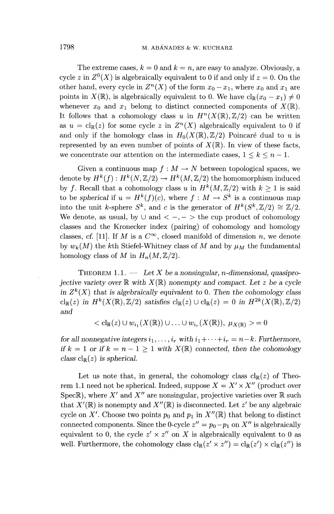The extreme cases,  $k = 0$  and  $k = n$ , are easy to analyze. Obviously, a cycle *z* in  $Z^0(X)$  is algebraically equivalent to 0 if and only if  $z = 0$ . On the cycle z in  $Z^0(X)$  is algebraically equivalent to 0 if and only if  $z = 0$ . On the other hand, every cycle in  $Z^n(X)$  of the form  $x_0 - x_1$ , where  $x_0$  and  $x_1$  are points in  $X(\mathbb{R})$ , is algebraically equivalent to 0. We have  $\text{cl}_{\mathbb{R}}(x_0 - x_1) \neq 0$ whenever  $x_0$  and  $x_1$  belong to distinct connected components of  $X(\mathbb{R})$ . It follows that a cohomology class u in  $H^n(X(\mathbb{R}), \mathbb{Z}/2)$  can be written as  $u = \text{cl}_{\mathbb{R}}(z)$  for some cycle z in  $Z^n(X)$  algebraically equivalent to 0 if and only if the homology class in  $H_0(X(\mathbb{R}), \mathbb{Z}/2)$  Poincaré dual to *u* is represented by an even number of points of  $X(\mathbb{R})$ . In view of these facts, we concentrate our attention on the intermediate cases,  $1 \leq k \leq n - 1$ .

Given a continuous map  $f : M \to N$  between topological spaces, we denote by  $H^k(f) : H^k(N, \mathbb{Z}/2) \to H^k(M, \mathbb{Z}/2)$  the homomorphism induced by *f*. Recall that a cohomology class *u* in  $H^k(M,\mathbb{Z}/2)$  with  $k \geq 1$  is said by f. Recall that a conomology class u in  $H^1(M, \mathbb{Z}/2)$  with  $k \ge 1$  is said to be *spherical* if  $u = H^k(f)(c)$ , where  $f : M \to S^k$  is a continuous map into the unit *k*-sphere  $S^k$ , and *c* is the generator of  $H^k(S^k, \mathbb{Z}/2) \cong \mathbb{Z}/2$ . We denote, as usual, by  $\cup$  and  $\langle -,- \rangle$  the cup product of cohomology classes and the Kronecker index (pairing) of cohomology and homology classes, cf. [11]. If M is a  $C^{\infty}$ , closed manifold of dimension n, we denote by  $w_k(M)$  the k<sup>th</sup> Stiefel-Whitney class of M and by  $\mu_M$  the fundamental homology class of *M* in  $H_n(M,\mathbb{Z}/2)$ .

THEOREM 1.1. — *Let X be a nonsingular, n-dimensional, quasiprojective variety over*  $\mathbb{R}$  with  $X(\mathbb{R})$  nonempty and compact. Let z be a cycle *in*  $Z^k(X)$  that is algebraically equivalent to 0. Then the cohomology class  $\operatorname{cl}_{\mathbb{R}}(z)$  in  $H^k(X(\mathbb{R}),\mathbb{Z}/2)$  satisfies  $\operatorname{cl}_{\mathbb{R}}(z) \cup \operatorname{cl}_{\mathbb{R}}(z) = 0$  in  $H^{2k}(X(\mathbb{R}),\mathbb{Z}/2)$ *and*

 $\langle c|_{\mathbb{R}}(z) \cup w_{i_1}(X(\mathbb{R})) \cup ... \cup w_{i_r}(X(\mathbb{R}))$ ,  $\mu_{X(\mathbb{R})} > = 0$ 

*for all nonnegative integers*  $i_1, \ldots, i_r$  with  $i_1 + \cdots + i_r = n-k$ . Furthermore, *if*  $k = 1$  *or if*  $k = n - 1 \ge 1$  with  $X(\mathbb{R})$  connected, then the cohomology *class*  $cl_{\mathbb{R}}(z)$  *is spherical.* 

Let us note that, in general, the cohomology class  $cl_{\mathbb{R}}(z)$  of Theorem 1.1 need not be spherical. Indeed, suppose  $X = X' \times X''$  (product over Spec $\mathbb{R}$ ), where  $X'$  and  $X''$  are nonsingular, projective varieties over  $\mathbb R$  such that  $X'(\mathbb{R})$  is nonempty and  $X''(\mathbb{R})$  is disconnected. Let z' be any algebraic cycle on X'. Choose two points  $p_0$  and  $p_1$  in  $X''(\mathbb{R})$  that belong to distinct connected components. Since the 0-cycle  $z'' = p_0 - p_1$  on  $X''$  is algebraically equivalent to 0, the cycle  $z' \times z''$  on X is algebraically equivalent to 0 as well. Furthermore, the cohomology class  $cl_{\mathbb{R}}(z' \times z'') = cl_{\mathbb{R}}(z') \times cl_{\mathbb{R}}(z'')$  is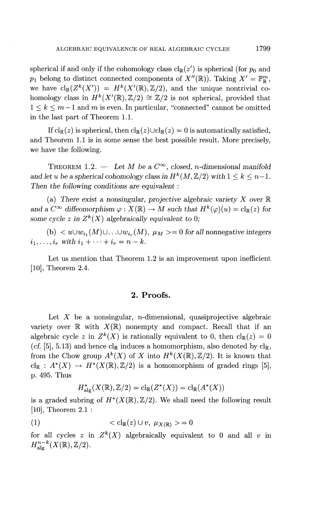spherical if and only if the cohomology class  $\text{cl}_{\mathbb{R}}(z')$  is spherical (for  $p_0$  and  $p_1$  belong to distinct connected components of  $X^{\prime\prime}(\mathbb{R})$ ). Taking  $X^{\prime} = \mathbb{P}_{\mathbb{R}}^m$ , we have  $\text{cl}_{\mathbb{R}}(Z^k(X')) = H^k(X'(\mathbb{R}), \mathbb{Z}/2)$ , and the unique nontrivial cohomology class in  $H^k(X'(\mathbb{R}), \mathbb{Z}/2) \cong \mathbb{Z}/2$  is not spherical, provided that  $1 \leq k \leq m-1$  and m is even. In particular, "connected" cannot be omitted in the last part of Theorem 1.1.

If  $\text{cl}_{\mathbb{R}}(z)$  is spherical, then  $\text{cl}_{\mathbb{R}}(z) \cup \text{cl}_{\mathbb{R}}(z) = 0$  is automatically satisfied. and Theorem 1.1 is in some sense the best possible result. More precisely, we have the following.

THEOREM 1.2. — Let M be a  $C^{\infty}$ , closed, n-dimensional manifold *and let u be a spherical cohomology class in*  $H^k(M, \mathbb{Z}/2)$  *with*  $1 \leq k \leq n-1$ . *Then the following conditions are equivalent :*

(a) There *exist a nonsingular, projective algebraic variety X over* R *a a d a c*<sup> $\infty$ </sup> diffeomorphism  $\varphi$  :  $X(\mathbb{R}) \to M$  such that  $H^k(\varphi)(u) = c\psi(z)$  for *some cycle z in*  $Z^k(X)$  algebraically equivalent to 0;

(b)  $\langle w_1, (M) \cup ... \cup w_{i_r}(M), \mu_M \rangle = 0$  for all nonnegative integers  $i_1, \ldots, i_r$  with  $i_1 + \cdots + i_r = n - k$ .

Let us mention that Theorem 1.2 is an improvement upon inefficient [10], Theorem 2.4.

#### **2. Proofs.**

Let  $X$  be a nonsingular, *n*-dimensional, quasiprojective algebraic variety over  $\mathbb R$  with  $X(\mathbb R)$  nonempty and compact. Recall that if an algebraic cycle z in  $Z^k(X)$  is rationally equivalent to 0, then  $\text{cl}_\mathbb{P}(z) = 0$ (cf. [5], 5.13) and hence  $cl_{\mathbb{R}}$  induces a homomorphism, also denoted by  $cl_{\mathbb{R}}$ , from the Chow group  $A^k(X)$  of X into  $H^k(X(\mathbb{R}),\mathbb{Z}/2)$ . It is known that  $\text{cl}_{\mathbb{R}} : A^*(X) \to H^*(X(\mathbb{R}), \mathbb{Z}/2)$  is a homomorphism of graded rings [5], p. 495. Thus

$$
H^*_{\text{alg}}(X(\mathbb{R}), \mathbb{Z}/2) = \text{cl}_{\mathbb{R}}(Z^*(X)) = \text{cl}_{\mathbb{R}}(A^*(X))
$$

is a graded subring of  $H^*(X(\mathbb{R}),\mathbb{Z}/2)$ . We shall need the following result [10], Theorem 2.1 :

$$
(1) \qquad \qquad < \mathrm{cl}_{\mathbb{R}}(z) \cup v, \ \mu_{X(\mathbb{R})} > = 0
$$

for all cycles z in  $Z^k(X)$  algebraically equivalent to 0 and all *v*  $H^{n-k}_{\text{alg}}(X(\mathbb{R}),\mathbb{Z}/2).$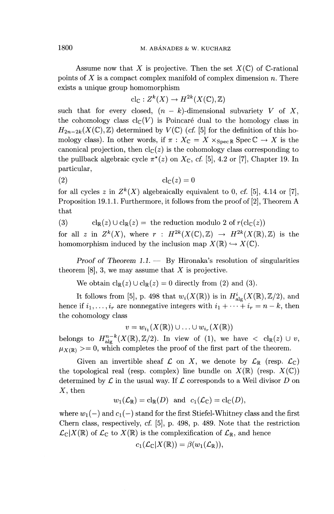Assume now that X is projective. Then the set  $X(\mathbb{C})$  of C-rational points of X is a compact complex manifold of complex dimension *n.* There exists a unique group homomorphism

$$
\mathrm{cl}_{\mathbb{C}}: Z^{k}(X) \to H^{2k}(X(\mathbb{C}), \mathbb{Z})
$$

such that for every closed,  $(n - k)$ -dimensional subvariety V of X, the cohomology class  $\text{cl}_{\mathbb{C}}(V)$  is Poincaré dual to the homology class in  $H_{2n-2k}(X(\mathbb{C}),\mathbb{Z})$  determined by  $V(\mathbb{C})$  (cf. [5] for the definition of this homology class). In other words, if  $\pi$  :  $X_{\mathbb{C}} = X \times_{\text{Spec } \mathbb{R}} \text{Spec } \mathbb{C} \to X$  is the canonical projection, then  $\text{cl}_{\mathbb{C}}(z)$  is the cohomology class corresponding to the pullback algebraic cycle  $\pi^*(z)$  on  $X_{\mathbb{C}}$ , cf. [5], 4.2 or [7], Chapter 19. In particular,

$$
cl_{\mathbb{C}}(z) = 0
$$

for all cycles z in  $Z^k(X)$  algebraically equivalent to 0, cf. [5], 4.14 or [7] Proposition 19.1.1. Furthermore, it follows from the proof of [2], Theorem A that

(3)  $\text{cl}_{\mathbb{R}}(z) \cup \text{cl}_{\mathbb{R}}(z) = \text{ the reduction modulo } 2 \text{ of } r(\text{cl}_{\mathbb{C}}(z))$ 

for all z in  $Z^k(X)$ , where  $r : H^{2k}(X(\mathbb{C}), \mathbb{Z}) \to H^{2k}(X(\mathbb{R}), \mathbb{Z})$  is the homomorphism induced by the inclusion map  $X(\mathbb{R}) \hookrightarrow X(\mathbb{C})$ .

*Proof of Theorem 1.1. —* By Hironaka's resolution of singularities theorem [8], 3, we may assume that *X* is projective.

We obtain  $\mathrm{cl}_{\mathbb{R}}(z) \cup \mathrm{cl}_{\mathbb{R}}(z) = 0$  directly from (2) and (3).

It follows from [5], p. 498 that  $w_i(X(\mathbb{R}))$  is in  $H^i_{\text{alg}}(X(\mathbb{R}),\mathbb{Z}/2)$ , and hence if  $i_1, \ldots, i_r$  are nonnegative integers with  $i_1 + \cdots + i_r = n - k$ , then the cohomology class

 $v = w_{i_1}(X(\mathbb{R})) \cup ... \cup w_{i_r}(X(\mathbb{R}))$ 

belongs to  $H_{\text{abs}}^{n-k}(X(\mathbb{R}), \mathbb{Z}/2)$ . In view of (1), we have  $\langle \text{cl}_{\mathbb{R}}(z) \cup v \rangle$  $\mu_{X(\mathbb{R})}$  >= 0, which completes the proof of the first part of the theorem.

Given an invertible sheaf  $\mathcal L$  on X, we denote by  $\mathcal L_{\mathbb R}$  (resp.  $\mathcal L_{\mathbb C}$ ) the topological real (resp. complex) line bundle on  $X(\mathbb{R})$  (resp.  $X(\mathbb{C})$ ) determined by  $\mathcal L$  in the usual way. If  $\mathcal L$  corresponds to a Weil divisor  $D$  on  $X$ , then

$$
w_1(\mathcal{L}_{\mathbb{R}}) = \mathrm{cl}_{\mathbb{R}}(D) \text{ and } c_1(\mathcal{L}_{\mathbb{C}}) = \mathrm{cl}_{\mathbb{C}}(D),
$$

where  $w_1(-)$  and  $c_1(-)$  stand for the first Stiefel-Whitney class and the first Chern class, respectively, *cf.* [5], p. 498, p. 489. Note that the restriction  $\mathcal{L}_{\mathbb{C}}|X(\mathbb{R})$  of  $\mathcal{L}_{\mathbb{C}}$  to  $X(\mathbb{R})$  is the complexification of  $\mathcal{L}_{\mathbb{R}}$ , and hence

$$
c_1(\mathcal{L}_\mathbb{C}|X(\mathbb{R}))=\beta(w_1(\mathcal{L}_\mathbb{R})),
$$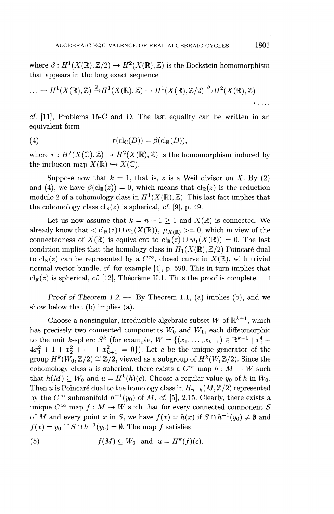where  $\beta: H^1(X(\mathbb{R}), \mathbb{Z}/2) \to H^2(X(\mathbb{R}), \mathbb{Z})$  is the Bockstein homomorphism that appears in the long exact sequence

$$
\ldots \to H^1(X(\mathbb{R}), \mathbb{Z}) \xrightarrow{2} H^1(X(\mathbb{R}), \mathbb{Z}) \to H^1(X(\mathbb{R}), \mathbb{Z}/2) \xrightarrow{\beta} H^2(X(\mathbb{R}), \mathbb{Z}) \to \ldots
$$

cf. [II], Problems 15-C and D. The last equality can be written in an equivalent form

(4) 
$$
r(\text{cl}_{\mathbb{C}}(D)) = \beta(\text{cl}_{\mathbb{R}}(D)),
$$

where  $r : H^2(X(\mathbb{C}), \mathbb{Z}) \to H^2(X(\mathbb{R}), \mathbb{Z})$  is the homomorphism induced by the inclusion map  $X(\mathbb{R}) \hookrightarrow X(\mathbb{C})$ .

Suppose now that  $k = 1$ , that is, z is a Weil divisor on X. By (2) and (4), we have  $\beta(\mathrm{cl}_{\mathbb{R}}(z)) = 0$ , which means that  $\mathrm{cl}_{\mathbb{R}}(z)$  is the reduction modulo 2 of a cohomology class in  $H^1(X(\mathbb{R}), \mathbb{Z})$ . This last fact implies that the cohomology class  $\text{cl}_{\mathbb{R}}(z)$  is spherical, *cf.* [9], p. 49.

Let us now assume that  $k = n - 1 \geq 1$  and  $X(\mathbb{R})$  is connected. We already know that  $\langle c|_{\mathbb{R}}(z) \cup w_1(X(\mathbb{R}))$ ,  $\mu_{X(\mathbb{R})} \rangle = 0$ , which in view of the connectedness of  $X(\mathbb{R})$  is equivalent to  $\text{cl}_{\mathbb{R}}(z) \cup w_1(X(\mathbb{R})) = 0$ . The last condition implies that the homology class in  $H_1(X(\mathbb{R}), \mathbb{Z}/2)$  Poincaré dual to  $\text{cl}_{\mathbb{R}}(z)$  can be represented by a  $C^{\infty}$ , closed curve in  $X(\mathbb{R})$ , with trivial normal vector bundle, *cf.* for example [4], p. 599. This in turn implies that  $cl_{\mathbb{R}}(z)$  is spherical, cf. [12], Theoreme II.1. Thus the proof is complete.  $\square$ 

*Proof of Theorem 1.2.* — By Theorem 1.1, (a) implies (b), and we show below that (b) implies (a).

Choose a nonsingular, irreducible algebraic subset W of  $\mathbb{R}^{k+1}$ , which has precisely two connected components  $W_0$  and  $W_1$ , each diffeomorphic to the unit *k*-sphere  $S^k$  (for example,  $W = \{(x_1, \ldots, x_{k+1}) \in \mathbb{R}^{k+1} | x_1^4 4x_1^2 + 1 + x_2^2 + \cdots + x_{k+1}^2 = 0$ ). Let *c* be the unique generator of the group  $H^k(W_0, \mathbb{Z}/2) \cong \mathbb{Z}/2$ , viewed as a subgroup of  $H^k(W, \mathbb{Z}/2)$ . Since the cohomology class u is spherical, there exists a  $C^{\infty}$  map  $h: M \to W$  such that  $h(M) \subseteq W_0$  and  $u = H^k(h)(c)$ . Choose a regular value  $y_0$  of h in  $W_0$ . Then *u* is Poincaré dual to the homology class in  $H_{n-k}(M,\mathbb{Z}/2)$  represented by the  $C^{\infty}$  submanifold  $h^{-1}(y_0)$  of M, cf. [5], 2.15. Clearly, there exists a unique  $C^{\infty}$  map  $f : M \to W$  such that for every connected component S of *M* and every point *x* in *S*, we have  $f(x) = h(x)$  if  $S \cap h^{-1}(y_0) \neq \emptyset$  and  $f(x) = y_0$  if  $S \cap h^{-1}(y_0) = \emptyset$ . The map *f* satisfies

(5) 
$$
f(M) \subseteq W_0 \text{ and } u = H^k(f)(c).
$$

 $\overline{\phantom{a}}$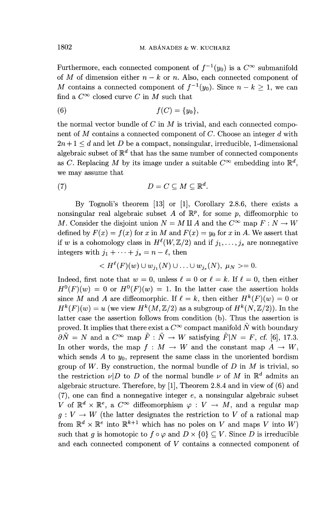Furthermore, each connected component of  $f^{-1}(y_0)$  is a  $C^{\infty}$  submanifold of *M* of dimension either  $n - k$  or *n*. Also, each connected component of *M* contains a connected component of  $f^{-1}(u_0)$ . Since  $n - k > 1$ , we can find a  $C^{\infty}$  closed curve C in M such that

$$
(6) \t f(C) = \{y_0\},\
$$

the normal vector bundle of *C* in *M* is trivial, and each connected component of *M* contains a connected component of *C.* Choose an integer *d* with  $2n+1 \leq d$  and let D be a compact, nonsingular, irreducible, 1-dimensional algebraic subset of  $\mathbb{R}^d$  that has the same number of connected components as *C*. Replacing *M* by its image under a suitable  $C^{\infty}$  embedding into  $\mathbb{R}^{d}$ , we may assume that

(7) 
$$
D = C \subseteq M \subseteq \mathbb{R}^d.
$$

By Tognoli's theorem [13] or [I], Corollary 2.8.6, there exists a nonsingular real algebraic subset A of  $\mathbb{R}^p$ , for some p, diffeomorphic to *M*. Consider the disjoint union  $N = M \amalg A$  and the  $C^{\infty}$  map  $F : N \to W$ defined by  $F(x) = f(x)$  for x in M and  $F(x) = y_0$  for x in A. We assert that if w is a cohomology class in  $H^{\ell}(W, \mathbb{Z}/2)$  and if  $j_1, \ldots, j_s$  are nonnegative if w is a cohomology class in  $H^{\epsilon}(W, \mathbb{Z})$ :<br>integers with  $j_1 + \cdots + j_s = n - \ell$ , then

$$
u_{j1} + \dots + y_s = n - \ell, \text{ then}
$$
  

$$
< H^{\ell}(F)(w) \cup w_{j_1}(N) \cup \dots \cup w_{j_s}(N), \mu_N > = 0.
$$

Indeed, first note that  $w = 0$ , unless  $\ell = 0$  or  $\ell = k$ . If  $\ell = 0$ , then either  $H^{0}(F)(w) = 0$  or  $H^{0}(F)(w) = 1$ . In the latter case the assertion holds since M and A are diffeomorphic. If  $\ell = k$ , then either  $H^k(F)(w) = 0$  or  $H^k(F)(w) = u$  (we view  $H^k(M,\mathbb{Z}/2)$  as a subgroup of  $H^k(N,\mathbb{Z}/2)$ ). In the latter case the assertion follows from condition (b). Thus the assertion is proved. It implies that there exist a  $C^{\infty}$  compact manifold  $\tilde{N}$  with boundary  $\partial \tilde{N} = N$  and a  $C^{\infty}$  map  $\tilde{F} : \tilde{N} \to W$  satisfying  $\tilde{F}|N = F$ , cf. [6], 17.3. In other words, the map  $f : M \to W$  and the constant map  $A \to W$ , which sends  $A$  to  $y_0$ , represent the same class in the unoriented bordism group of  $W$ . By construction, the normal bundle of  $D$  in  $M$  is trivial, so the restriction  $\nu|D$  to *D* of the normal bundle  $\nu$  of *M* in  $\mathbb{R}^d$  admits an algebraic structure. Therefore, by [I], Theorem 2.8.4 and in view of (6) and  $(7)$ , one can find a nonnegative integer e, a nonsingular algebraic subset V of  $\mathbb{R}^d \times \mathbb{R}^e$ , a  $C^{\infty}$  diffeomorphism  $\varphi : V \to M$ , and a regular map  $g: V \to W$  (the latter designates the restriction to V of a rational map from  $\mathbb{R}^d \times \mathbb{R}^e$  into  $\mathbb{R}^{k+1}$  which has no poles on *V* and maps *V* into W) such that g is homotopic to  $f \circ \varphi$  and  $D \times \{0\} \subseteq V$ . Since D is irreducible and each connected component of *V* contains a connected component of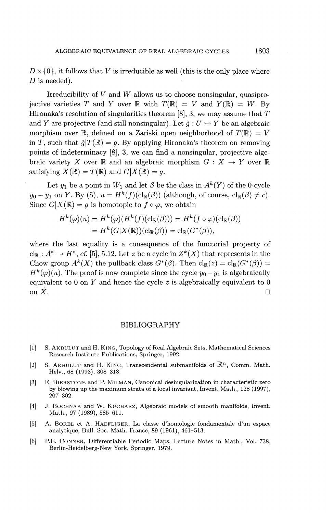$D \times \{0\}$ , it follows that *V* is irreducible as well (this is the only place where *D* is needed).

Irreducibility of *V* and *W* allows us to choose nonsingular, quasiprojective varieties T and Y over R with  $T(\mathbb{R}) = V$  and  $Y(\mathbb{R}) = W$ . By Hironaka's resolution of singularities theorem [8], 3, we may assume that *T* and *Y* are projective (and still nonsingular). Let  $\tilde{q}: U \to Y$  be an algebraic morphism over R, defined on a Zariski open neighborhood of  $T(\mathbb{R}) = V$ in T, such that  $\tilde{q}(T(\mathbb{R}) = q$ . By applying Hironaka's theorem on removing points of indeterminacy [8], 3, we can find a nonsingular, projective algebraic variety X over R and an algebraic morphism  $G: X \to Y$  over R satisfying  $X(\mathbb{R}) = T(\mathbb{R})$  and  $G(X(\mathbb{R}) = q$ .

Let  $y_1$  be a point in  $W_1$  and let  $\beta$  be the class in  $A^k(Y)$  of the 0-cycle  $y_0 - y_1$  on Y. By (5),  $u = H^k(f)(\mathrm{cl}_\mathbb{R}(\beta))$  (although, of course,  $\mathrm{cl}_\mathbb{R}(\beta) \neq c$ ). Since  $G|X(\mathbb{R}) = q$  is homotopic to  $f \circ \varphi$ , we obtain

$$
H^k(\varphi)(u) = H^k(\varphi)(H^k(f)(\mathrm{cl}_\mathbb{R}(\beta))) = H^k(f \circ \varphi)(\mathrm{cl}_\mathbb{R}(\beta))
$$
  
=  $H^k(G|X(\mathbb{R}))(\mathrm{cl}_\mathbb{R}(\beta)) = \mathrm{cl}_\mathbb{R}(G^*(\beta)),$ 

where the last equality is a consequence of the functorial property of  $cl_{\mathbb{R}} : A^* \to H^*$ , cf. [5], 5.12. Let *z* be a cycle in  $Z^k(X)$  that represents in the  $\text{Cl}_{\mathbb{R}}: A^{\cdot} \to H^{\cdot}$ , cr. [5], 3.12. Let z be a cycle in  $Z^{\cdot\cdot}(A)$  that represents in the Chow group  $A^{k}(X)$  the pullback class  $G^{*}(\beta)$ . Then  $\text{cl}_{\mathbb{R}}(z) = \text{cl}_{\mathbb{R}}(G^{*}(\beta))$  = Chow group  $A^k(X)$  the pullback class  $G^*(\beta)$ . Then  $\text{cl}_{\mathbb{R}}(z) = \text{cl}_{\mathbb{R}}(G^*(\beta))$ <br>  $H^k(\varphi)(u)$ . The proof is now complete since the cycle  $y_0 - y_1$  is algebraicall equivalent to 0 on *Y* and hence the cycle *z* is algebraically equivalent to equivalent to 0 on *I* and nence the cycle  $\lambda$  is algebraically equivalent to  $\lambda$ .

#### BIBLIOGRAPHY

- [1] S. AKBULUT and H. KING, Topology of Real Algebraic Sets, Mathematical Sciences Research Institute Publications, Springer, 1992.
- [2] S. AKBULUT and H. KING, Transcendental submanifolds of  $\mathbb{R}^n$ , Comm. Mathematic  $H_0$ ,  $\alpha$ 8 (1993), 308-318.
- [3] E. BIERSTONE and P. MILMAN, Canonical desingularization in characteristic zero by blowing up the maximum strata of a local invariant, Invent. Math., 128 (1997)<br>
207-202.
- [4] J. BOCHNAK and W. KUCHARZ, Algebraic models of smooth manifolds, Invention Math. 07 (1989), 585-611.
	- [5] A. BOREL et A. HAEFLIGER, La classe d'homologie fondamentale d'un espace analytique, Bull. Soc. Math. France, 89 (1961), 461-513.
	- [6] P.E. CONNER, Differentiable Periodic Maps, Lecture Notes in Math., Vol. 738 Berlin-Heidelberg-New York, Springer, 1979.